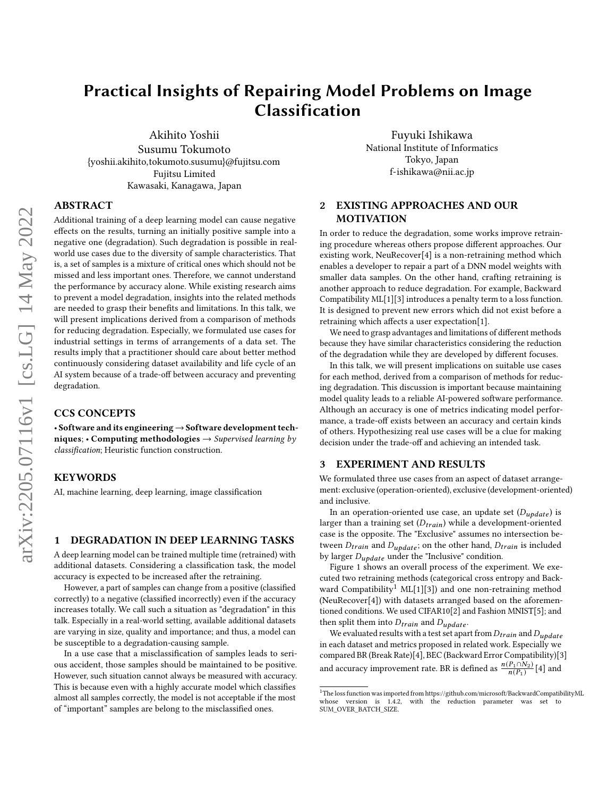# Practical Insights of Repairing Model Problems on Image Classification

Akihito Yoshii Susumu Tokumoto {yoshii.akihito,tokumoto.susumu}@fujitsu.com Fujitsu Limited Kawasaki, Kanagawa, Japan

Fuyuki Ishikawa National Institute of Informatics Tokyo, Japan f-ishikawa@nii.ac.jp

# ABSTRACT

Additional training of a deep learning model can cause negative effects on the results, turning an initially positive sample into a negative one (degradation). Such degradation is possible in realworld use cases due to the diversity of sample characteristics. That is, a set of samples is a mixture of critical ones which should not be missed and less important ones. Therefore, we cannot understand the performance by accuracy alone. While existing research aims to prevent a model degradation, insights into the related methods are needed to grasp their benefits and limitations. In this talk, we will present implications derived from a comparison of methods for reducing degradation. Especially, we formulated use cases for industrial settings in terms of arrangements of a data set. The results imply that a practitioner should care about better method continuously considering dataset availability and life cycle of an AI system because of a trade-off between accuracy and preventing degradation.

## CCS CONCEPTS

• Software and its engineering→Software development techniques; • Computing methodologies  $\rightarrow$  Supervised learning by classification; Heuristic function construction.

#### KEYWORDS

AI, machine learning, deep learning, image classification

#### 1 DEGRADATION IN DEEP LEARNING TASKS

A deep learning model can be trained multiple time (retrained) with additional datasets. Considering a classification task, the model accuracy is expected to be increased after the retraining.

However, a part of samples can change from a positive (classified correctly) to a negative (classified incorrectly) even if the accuracy increases totally. We call such a situation as "degradation" in this talk. Especially in a real-world setting, available additional datasets are varying in size, quality and importance; and thus, a model can be susceptible to a degradation-causing sample.

In a use case that a misclassification of samples leads to serious accident, those samples should be maintained to be positive. However, such situation cannot always be measured with accuracy. This is because even with a highly accurate model which classifies almost all samples correctly, the model is not acceptable if the most of "important" samples are belong to the misclassified ones.

# 2 EXISTING APPROACHES AND OUR MOTIVATION

In order to reduce the degradation, some works improve retraining procedure whereas others propose different approaches. Our existing work, NeuRecover[\[4\]](#page-1-0) is a non-retraining method which enables a developer to repair a part of a DNN model weights with smaller data samples. On the other hand, crafting retraining is another approach to reduce degradation. For example, Backward Compatibility ML[\[1\]](#page-1-1)[\[3\]](#page-1-2) introduces a penalty term to a loss function. It is designed to prevent new errors which did not exist before a retraining which affects a user expectation[\[1\]](#page-1-1).

We need to grasp advantages and limitations of different methods because they have similar characteristics considering the reduction of the degradation while they are developed by different focuses.

In this talk, we will present implications on suitable use cases for each method, derived from a comparison of methods for reducing degradation. This discussion is important because maintaining model quality leads to a reliable AI-powered software performance. Although an accuracy is one of metrics indicating model performance, a trade-off exists between an accuracy and certain kinds of others. Hypothesizing real use cases will be a clue for making decision under the trade-off and achieving an intended task.

#### 3 EXPERIMENT AND RESULTS

We formulated three use cases from an aspect of dataset arrangement: exclusive (operation-oriented), exclusive (development-oriented) and inclusive.

In an operation-oriented use case, an update set  $(D_{update})$  is larger than a training set  $(D_{train})$  while a development-oriented case is the opposite. The "Exclusive" assumes no intersection between  $D_{train}$  and  $D_{update}$ ; on the other hand,  $D_{train}$  is included by larger  $D_{update}$  under the "Inclusive" condition.

Figure [1](#page-1-3) shows an overall process of the experiment. We executed two retraining methods (categorical cross entropy and Back-ward Compatibility<sup>[1](#page-0-0)</sup> ML[\[1\]](#page-1-1)[\[3\]](#page-1-2)) and one non-retraining method (NeuRecover[\[4\]](#page-1-0)) with datasets arranged based on the aforementioned conditions. We used CIFAR10[\[2\]](#page-1-4) and Fashion MNIST[\[5\]](#page-1-5); and then split them into  $D_{train}$  and  $D_{update}$ .

We evaluated results with a test set apart from  $D_{train}$  and  $D_{update}$ in each dataset and metrics proposed in related work. Especially we compared BR (Break Rate)[\[4\]](#page-1-0), BEC (Backward Error Compatibility)[\[3\]](#page-1-2) and accuracy improvement rate. BR is defined as  $\frac{n(P_1 \cap N_2)}{n(P_1)}$  [\[4\]](#page-1-0) and

<span id="page-0-0"></span><sup>&</sup>lt;sup>1</sup>The loss function was imported from https://github.com/microsoft/BackwardCompatibilityML whose version is 1.4.2. with the reduction parameter was set to reduction parameter was set SUM\_OVER\_BATCH\_SIZE.